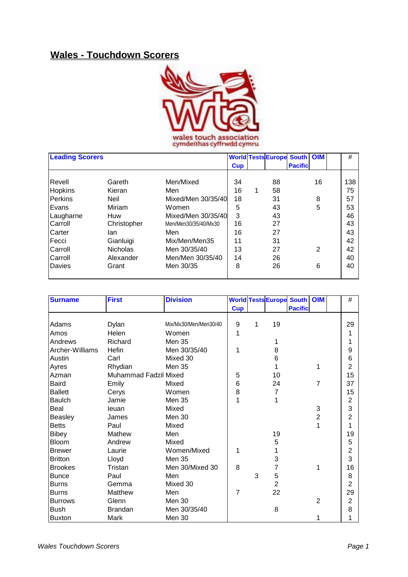## **Wales - Touchdown Scorers**



|           | <b>Leading Scorers</b> |                      |            |   | <b>World Tests Europe South   OIM</b> |                |    | #   |
|-----------|------------------------|----------------------|------------|---|---------------------------------------|----------------|----|-----|
|           |                        |                      | <b>Cup</b> |   |                                       | <b>Pacific</b> |    |     |
| Revell    | Gareth                 | Men/Mixed            | 34         |   | 88                                    |                | 16 | 138 |
| Hopkins   | Kieran                 | Men                  | 16         | 1 | 58                                    |                |    | 75  |
| Perkins   | <b>Neil</b>            | Mixed/Men 30/35/40   | 18         |   | 31                                    |                | 8  | 57  |
| Evans     | Miriam                 | Women                | 5          |   | 43                                    |                | 5  | 53  |
| Laugharne | Huw                    | Mixed/Men 30/35/40   | 3          |   | 43                                    |                |    | 46  |
| Carroll   | Christopher            | Men/Men30/35/40/Mx30 | 16         |   | 27                                    |                |    | 43  |
| Carter    | lan                    | Men                  | 16         |   | 27                                    |                |    | 43  |
| Fecci     | Gianluigi              | Mix/Men/Men35        | 11         |   | 31                                    |                |    | 42  |
| Carroll   | <b>Nicholas</b>        | Men 30/35/40         | 13         |   | 27                                    |                | 2  | 42  |
| Carroll   | Alexander              | Men/Men 30/35/40     | 14         |   | 26                                    |                |    | 40  |
| Davies    | Grant                  | Men 30/35            | 8          |   | 26                                    |                | 6  | 40  |
|           |                        |                      |            |   |                                       |                |    |     |

| <b>Surname</b>  | <b>First</b>          | <b>Division</b>       |            |   |                | <b>World Tests Europe South OIM</b> |                | $\#$           |
|-----------------|-----------------------|-----------------------|------------|---|----------------|-------------------------------------|----------------|----------------|
|                 |                       |                       | <b>Cup</b> |   |                | <b>Pacific</b>                      |                |                |
|                 |                       |                       |            |   |                |                                     |                |                |
| Adams           | Dylan                 | Mix/Mx30/Men/Men30/40 | 9          | 1 | 19             |                                     |                | 29             |
| Amos            | Helen                 | Women                 | 1          |   |                |                                     |                | 1              |
| Andrews         | Richard               | <b>Men 35</b>         |            |   |                |                                     |                | 1              |
| Archer-Williams | Hefin                 | Men 30/35/40          | 1          |   | 8              |                                     |                | 9              |
| Austin          | Carl                  | Mixed 30              |            |   | 6              |                                     |                | 6              |
| Ayres           | Rhydian               | Men 35                |            |   |                |                                     | 1              | $\overline{2}$ |
| Azman           | Muhammad Fadzil Mixed |                       | 5          |   | 10             |                                     |                | 15             |
| Baird           | Emily                 | Mixed                 | 6          |   | 24             |                                     | $\overline{7}$ | 37             |
| <b>Ballett</b>  | Cerys                 | Women                 | 8          |   | 7              |                                     |                | 15             |
| Baulch          | Jamie                 | <b>Men 35</b>         | 1          |   |                |                                     |                | $\overline{2}$ |
| Beal            | leuan                 | Mixed                 |            |   |                |                                     | 3              | 3              |
| Beasley         | James                 | Men 30                |            |   |                |                                     | $\overline{c}$ | $\overline{2}$ |
| <b>Betts</b>    | Paul                  | Mixed                 |            |   |                |                                     | 1              | 1              |
| <b>Bibey</b>    | Mathew                | Men                   |            |   | 19             |                                     |                | 19             |
| <b>Bloom</b>    | Andrew                | Mixed                 |            |   | 5              |                                     |                | 5              |
| <b>Brewer</b>   | Laurie                | Women/Mixed           | 1          |   |                |                                     |                | $\overline{2}$ |
| <b>Britton</b>  | Lloyd                 | <b>Men 35</b>         |            |   | 3              |                                     |                | 3              |
| <b>Brookes</b>  | Tristan               | Men 30/Mixed 30       | 8          |   | 7              |                                     | 1              | 16             |
| <b>Bunce</b>    | Paul                  | Men                   |            | 3 | 5              |                                     |                | 8              |
| <b>Burns</b>    | Gemma                 | Mixed 30              |            |   | $\overline{2}$ |                                     |                | $\overline{2}$ |
| <b>Burns</b>    | Matthew               | Men                   | 7          |   | 22             |                                     |                | 29             |
| <b>Burrows</b>  | Glenn                 | Men 30                |            |   |                |                                     | $\overline{2}$ | 2              |
| <b>Bush</b>     | <b>Brandan</b>        | Men 30/35/40          |            |   | 8              |                                     |                | 8              |
| <b>Buxton</b>   | Mark                  | Men 30                |            |   |                |                                     | 1              | 1              |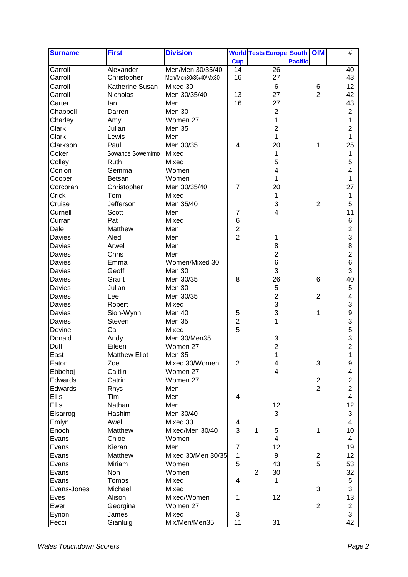| <b>Surname</b>    | <b>First</b>         | <b>Division</b>      |                                  |                |                         | <b>World Tests Europe South</b> | <b>OIM</b>              | #                       |
|-------------------|----------------------|----------------------|----------------------------------|----------------|-------------------------|---------------------------------|-------------------------|-------------------------|
|                   |                      |                      | <b>Cup</b>                       |                |                         | <b>Pacific</b>                  |                         |                         |
| Carroll           | Alexander            | Men/Men 30/35/40     | 14                               |                | 26                      |                                 |                         | 40                      |
| Carroll           | Christopher          | Men/Men30/35/40/Mx30 | 16                               |                | 27                      |                                 |                         | 43                      |
| Carroll           | Katherine Susan      | Mixed 30             |                                  |                | 6                       |                                 | 6                       | 12                      |
| Carroll           | Nicholas             | Men 30/35/40         | 13                               |                | 27                      |                                 | $\overline{2}$          | 42                      |
| Carter            | lan                  | Men                  | 16                               |                | 27                      |                                 |                         | 43                      |
| Chappell          | Darren               | Men 30               |                                  |                | $\overline{c}$          |                                 |                         | $\overline{c}$          |
| Charley           | Amy                  | Women 27             |                                  |                | 1                       |                                 |                         | 1                       |
| Clark             | Julian               | Men 35               |                                  |                | 2                       |                                 |                         | 2                       |
| Clark             | Lewis                | Men                  |                                  |                | 1                       |                                 |                         | 1                       |
| Clarkson          | Paul                 | Men 30/35            | 4                                |                | 20                      |                                 | 1                       | 25                      |
| Coker             | Sowande Sowemimo     | Mixed                |                                  |                | 1                       |                                 |                         | 1                       |
| Colley            | Ruth                 | Mixed                |                                  |                | 5                       |                                 |                         | 5                       |
| Conlon            | Gemma                | Women                |                                  |                | 4                       |                                 |                         | $\overline{4}$          |
| Cooper            | <b>Betsan</b>        | Women                |                                  |                | 1                       |                                 |                         | 1                       |
| Corcoran          | Christopher          | Men 30/35/40         | $\overline{7}$                   |                | 20                      |                                 |                         | 27                      |
| Crick             | Tom                  | Mixed                |                                  |                | 1                       |                                 |                         | 1                       |
|                   | Jefferson            | Men 35/40            |                                  |                | 3                       |                                 | $\overline{2}$          | 5                       |
| Cruise<br>Curnell | Scott                | Men                  | 7                                |                | 4                       |                                 |                         | 11                      |
| Curran            | Pat                  | Mixed                | 6                                |                |                         |                                 |                         | $6\phantom{1}6$         |
| Dale              |                      |                      |                                  |                |                         |                                 |                         |                         |
|                   | Matthew              | Men                  | $\overline{c}$<br>$\overline{2}$ |                |                         |                                 |                         | $\overline{c}$          |
| Davies            | Aled                 | Men                  |                                  |                | 1                       |                                 |                         | 3                       |
| Davies            | Arwel                | Men                  |                                  |                | 8                       |                                 |                         | 8                       |
| Davies            | Chris                | Men                  |                                  |                | $\overline{2}$          |                                 |                         | $\overline{\mathbf{c}}$ |
| Davies            | Emma                 | Women/Mixed 30       |                                  |                | 6                       |                                 |                         | $6\phantom{1}$          |
| Davies            | Geoff                | Men 30               |                                  |                | 3                       |                                 |                         | 3                       |
| Davies            | Grant                | Men 30/35            | 8                                |                | 26                      |                                 | 6                       | 40                      |
| <b>Davies</b>     | Julian               | Men 30               |                                  |                | 5                       |                                 |                         | 5                       |
| <b>Davies</b>     | Lee                  | Men 30/35            |                                  |                | $\overline{2}$          |                                 | $\overline{2}$          | 4                       |
| <b>Davies</b>     | Robert               | Mixed                |                                  |                | 3                       |                                 |                         | 3                       |
| <b>Davies</b>     | Sion-Wynn            | Men 40               | $\mathbf 5$                      |                | 3                       |                                 | 1                       | $\boldsymbol{9}$        |
| <b>Davies</b>     | Steven               | Men 35               | $\overline{\mathbf{c}}$          |                | 1                       |                                 |                         | 3                       |
| Devine            | Cai                  | Mixed                | 5                                |                |                         |                                 |                         | 5                       |
| Donald            | Andy                 | Men 30/Men35         |                                  |                | 3                       |                                 |                         | 3                       |
| Duff              | Eileen               | Women 27             |                                  |                | $\overline{2}$          |                                 |                         | $\overline{2}$          |
| East              | <b>Matthew Eliot</b> | <b>Men 35</b>        |                                  |                | 1                       |                                 |                         | 1                       |
| Eaton             | Zoe                  | Mixed 30/Women       | $\mathbf{2}$                     |                | 4                       |                                 | 3                       | 9                       |
| Ebbehoj           | Caitlin              | Women 27             |                                  |                | 4                       |                                 |                         | 4                       |
| Edwards           | Catrin               | Women 27             |                                  |                |                         |                                 | $\overline{\mathbf{c}}$ | $\overline{2}$          |
| Edwards           | Rhys                 | Men                  |                                  |                |                         |                                 | $\overline{2}$          | $\overline{2}$          |
| Ellis             | Tim                  | Men                  | 4                                |                |                         |                                 |                         | $\overline{\mathbf{4}}$ |
| Ellis             | Nathan               | Men                  |                                  |                | 12                      |                                 |                         | 12                      |
| Elsarrog          | Hashim               | Men 30/40            |                                  |                | 3                       |                                 |                         | 3                       |
| Emlyn             | Awel                 | Mixed 30             | 4                                |                |                         |                                 |                         | 4                       |
| Enoch             | Matthew              | Mixed/Men 30/40      | 3                                | 1              | 5                       |                                 | 1                       | 10                      |
| Evans             | Chloe                | Women                |                                  |                | $\overline{\mathbf{4}}$ |                                 |                         | 4                       |
| Evans             | Kieran               | Men                  | $\overline{7}$                   |                | 12                      |                                 |                         | 19                      |
| Evans             | Matthew              | Mixed 30/Men 30/35   | 1                                |                | 9                       |                                 | $\overline{c}$          | 12                      |
| Evans             | Miriam               | Women                | 5                                |                | 43                      |                                 | 5                       | 53                      |
| Evans             | Non                  | Women                |                                  | $\overline{2}$ | 30                      |                                 |                         | 32                      |
| Evans             | Tomos                | Mixed                | 4                                |                | 1                       |                                 |                         | 5                       |
| Evans-Jones       | Michael              | Mixed                |                                  |                |                         |                                 | 3                       | 3                       |
| Eves              | Alison               | Mixed/Women          | 1                                |                | 12                      |                                 |                         | 13                      |
| Ewer              | Georgina             | Women 27             |                                  |                |                         |                                 | $\overline{2}$          | $\mathbf{2}$            |
| Eynon             | James                | Mixed                | 3                                |                |                         |                                 |                         | 3                       |
| Fecci             | Gianluigi            | Mix/Men/Men35        | 11                               |                | 31                      |                                 |                         | 42                      |
|                   |                      |                      |                                  |                |                         |                                 |                         |                         |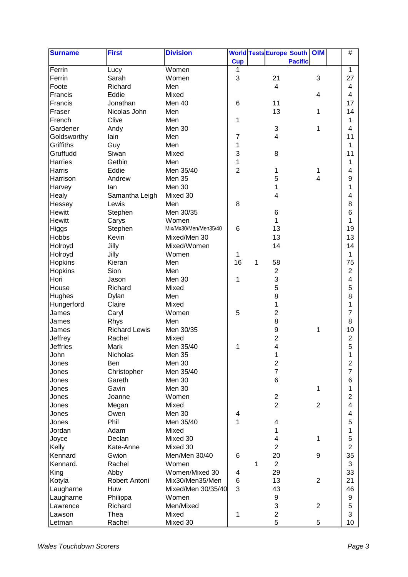| <b>Surname</b>  | <b>First</b>                 | <b>Division</b>       |                 |   | <b>World Tests Europe South</b> |                | OIM            | $\#$                    |
|-----------------|------------------------------|-----------------------|-----------------|---|---------------------------------|----------------|----------------|-------------------------|
|                 |                              |                       | <b>Cup</b>      |   |                                 | <b>Pacific</b> |                |                         |
| Ferrin          | Lucy                         | Women                 | 1               |   |                                 |                |                | 1                       |
| Ferrin          | Sarah                        | Women                 | 3               |   | 21                              |                | 3              | 27                      |
| Foote           | Richard                      | Men                   |                 |   | $\overline{\mathbf{4}}$         |                |                | 4                       |
| Francis         | Eddie                        | Mixed                 |                 |   |                                 |                | 4              | 4                       |
| Francis         | Jonathan                     | Men 40                | $6\phantom{1}6$ |   | 11                              |                |                | 17                      |
| Fraser          | Nicolas John                 | Men                   |                 |   | 13                              |                | 1              | 14                      |
| French          | Clive                        | Men                   | 1               |   |                                 |                |                | 1                       |
| Gardener        | Andy                         | Men 30                |                 |   | 3                               |                | 1              | 4                       |
| Goldsworthy     | lain                         | Men                   | $\overline{7}$  |   | 4                               |                |                | 11                      |
| Griffiths       | Guy                          | Men                   | 1               |   |                                 |                |                | 1                       |
| Gruffudd        | Siwan                        | Mixed                 | 3               |   | 8                               |                |                | 11                      |
| Harries         | Gethin                       | Men                   | 1               |   |                                 |                |                | 1                       |
| Harris          | Eddie                        | Men 35/40             | $\overline{2}$  |   | 1                               |                | 1              | 4                       |
| Harrison        | Andrew                       | Men 35                |                 |   | 5                               |                | 4              | 9                       |
| Harvey          | lan                          | Men 30                |                 |   | 1                               |                |                | 1                       |
| Healy           | Samantha Leigh               | Mixed 30              |                 |   | 4                               |                |                | 4                       |
| Hessey          | Lewis                        | Men                   | 8               |   |                                 |                |                | 8                       |
| <b>Hewitt</b>   | Stephen                      | Men 30/35             |                 |   | 6                               |                |                | $6\phantom{1}6$         |
| <b>Hewitt</b>   | Carys                        | Women                 |                 |   | 1                               |                |                | 1                       |
| Higgs           | Stephen                      | Mix/Mx30/Men/Men35/40 | 6               |   | 13                              |                |                | 19                      |
| <b>Hobbs</b>    | <b>Kevin</b>                 | Mixed/Men 30          |                 |   | 13                              |                |                | 13                      |
| Holroyd         | Jilly                        | Mixed/Women           |                 |   | 14                              |                |                | 14                      |
| Holroyd         | Jilly                        | Women                 | 1               |   |                                 |                |                | 1                       |
| <b>Hopkins</b>  | Kieran                       | Men                   | 16              | 1 | 58                              |                |                | 75                      |
| Hopkins         | Sion                         | Men                   |                 |   | $\overline{c}$                  |                |                | $\overline{2}$          |
| Hori            | Jason                        | Men 30                | 1               |   | 3                               |                |                | 4                       |
| House           | Richard                      | Mixed                 |                 |   | 5                               |                |                | 5                       |
| <b>Hughes</b>   | Dylan                        | Men                   |                 |   | 8                               |                |                | 8                       |
| Hungerford      | Claire                       | Mixed                 |                 |   | 1                               |                |                | 1                       |
| James           |                              | Women                 | 5               |   | 2                               |                |                | 7                       |
| James           | Caryl                        | Men                   |                 |   | 8                               |                |                | 8                       |
| James           | Rhys<br><b>Richard Lewis</b> | Men 30/35             |                 |   | 9                               |                |                | 10                      |
|                 |                              | Mixed                 |                 |   |                                 |                | 1              |                         |
| Jeffrey         | Rachel                       |                       |                 |   | 2                               |                |                | $\overline{c}$          |
| <b>Jeffries</b> | Mark                         | Men 35/40             | 1               |   | 4                               |                |                | 5                       |
| John            | Nicholas                     | <b>Men 35</b>         |                 |   | 1                               |                |                | 1                       |
| Jones           | Ben                          | Men 30                |                 |   | $\overline{c}$                  |                |                | $\boldsymbol{2}$        |
| Jones           | Christopher                  | Men 35/40             |                 |   | $\overline{7}$                  |                |                | $\overline{7}$          |
| Jones           | Gareth                       | Men 30                |                 |   | 6                               |                |                | 6                       |
| Jones           | Gavin                        | Men 30                |                 |   |                                 |                | 1              | 1                       |
| Jones           | Joanne                       | Women                 |                 |   | $\overline{2}$                  |                |                | $\overline{2}$          |
| Jones           | Megan                        | Mixed                 |                 |   | $\overline{2}$                  |                | $\overline{2}$ | $\overline{\mathbf{4}}$ |
| Jones           | Owen                         | Men 30                | 4               |   |                                 |                |                | 4                       |
| Jones           | Phil                         | Men 35/40             | $\mathbf 1$     |   | 4                               |                |                | 5                       |
| Jordan          | Adam                         | Mixed                 |                 |   | 1                               |                |                | 1                       |
| Joyce           | Declan                       | Mixed 30              |                 |   | 4                               |                | 1              | 5                       |
| Kelly           | Kate-Anne                    | Mixed 30              |                 |   | $\overline{2}$                  |                |                | $\overline{2}$          |
| Kennard         | Gwion                        | Men/Men 30/40         | 6               |   | 20                              |                | 9              | 35                      |
| Kennard.        | Rachel                       | Women                 |                 | 1 | $\overline{2}$                  |                |                | 3                       |
| King            | Abby                         | Women/Mixed 30        | 4               |   | 29                              |                |                | 33                      |
| Kotyla          | Robert Antoni                | Mix30/Men35/Men       | 6               |   | 13                              |                | $\overline{2}$ | 21                      |
| Laugharne       | Huw                          | Mixed/Men 30/35/40    | 3               |   | 43                              |                |                | 46                      |
| Laugharne       | Philippa                     | Women                 |                 |   | 9                               |                |                | 9                       |
| Lawrence        | Richard                      | Men/Mixed             |                 |   | 3                               |                | $\overline{2}$ | 5                       |
| Lawson          | Thea                         | Mixed                 | 1               |   | $\overline{c}$                  |                |                | 3                       |
| Letman          | Rachel                       | Mixed 30              |                 |   | 5                               |                | 5              | 10                      |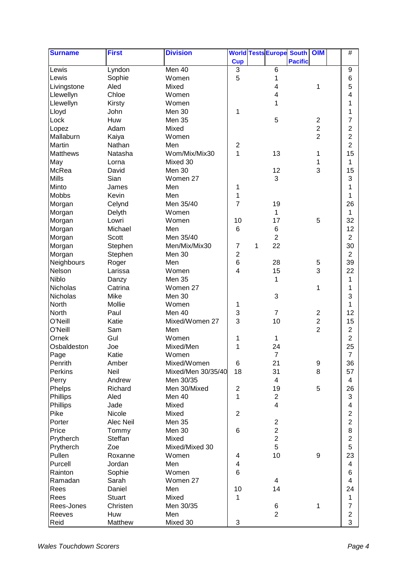| <b>Surname</b>  | <b>First</b>   | <b>Division</b>    |                  |   |                         | <b>World Tests Europe South</b> | OIM                     | $\#$                    |
|-----------------|----------------|--------------------|------------------|---|-------------------------|---------------------------------|-------------------------|-------------------------|
|                 |                |                    | <b>Cup</b>       |   |                         | <b>Pacific</b>                  |                         |                         |
| Lewis           | Lyndon         | Men 40             | 3                |   | 6                       |                                 |                         | 9                       |
| Lewis           | Sophie         | Women              | 5                |   | 1                       |                                 |                         | 6                       |
| Livingstone     | Aled           | Mixed              |                  |   | 4                       |                                 | 1                       | 5                       |
| Llewellyn       | Chloe          | Women              |                  |   | 4                       |                                 |                         | 4                       |
| Llewellyn       | Kirsty         | Women              |                  |   | 1                       |                                 |                         | 1                       |
| Lloyd           | John           | Men 30             | 1                |   |                         |                                 |                         | 1                       |
| Lock            | Huw            | Men 35             |                  |   | 5                       |                                 | $\boldsymbol{2}$        | 7                       |
| Lopez           | Adam           | Mixed              |                  |   |                         |                                 | $\overline{c}$          | $\overline{c}$          |
| Mallaburn       | Kaiya          | Women              |                  |   |                         |                                 | $\overline{2}$          | $\overline{c}$          |
| <b>Martin</b>   | Nathan         | Men                | $\boldsymbol{2}$ |   |                         |                                 |                         | $\overline{2}$          |
| <b>Matthews</b> | Natasha        | Wom/Mix/Mix30      | $\mathbf 1$      |   | 13                      |                                 | 1                       | 15                      |
| May             | Lorna          | Mixed 30           |                  |   |                         |                                 | 1                       | 1                       |
| McRea           | David          | Men 30             |                  |   | 12                      |                                 | 3                       | 15                      |
| <b>Mills</b>    | Sian           | Women 27           |                  |   | 3                       |                                 |                         | 3                       |
| Minto           |                | Men                |                  |   |                         |                                 |                         |                         |
| <b>Mobbs</b>    | James<br>Kevin | Men                | 1<br>1           |   |                         |                                 |                         | 1<br>1                  |
|                 |                | Men 35/40          | $\overline{7}$   |   |                         |                                 |                         | 26                      |
| Morgan          | Celynd         |                    |                  |   | 19                      |                                 |                         |                         |
| Morgan          | Delyth         | Women              |                  |   | 1                       |                                 |                         | 1                       |
| Morgan          | Lowri          | Women              | 10               |   | 17                      |                                 | 5                       | 32                      |
| Morgan          | Michael        | Men                | 6                |   | 6                       |                                 |                         | 12                      |
| Morgan          | Scott          | Men 35/40          |                  |   | $\overline{c}$          |                                 |                         | $\overline{c}$          |
| Morgan          | Stephen        | Men/Mix/Mix30      | 7                | 1 | 22                      |                                 |                         | 30                      |
| Morgan          | Stephen        | Men 30             | 2                |   |                         |                                 |                         | $\overline{2}$          |
| Neighbours      | Roger          | Men                | 6                |   | 28                      |                                 | 5                       | 39                      |
| Nelson          | Larissa        | Women              | 4                |   | 15                      |                                 | 3                       | 22                      |
| <b>Niblo</b>    | Danzy          | Men 35             |                  |   | 1                       |                                 |                         | 1                       |
| Nicholas        | Catrina        | Women 27           |                  |   |                         |                                 | 1                       | 1                       |
| Nicholas        | Mike           | Men 30             |                  |   | 3                       |                                 |                         | 3                       |
| <b>North</b>    | Mollie         | Women              | 1                |   |                         |                                 |                         | 1                       |
| <b>North</b>    | Paul           | Men 40             | 3                |   | $\overline{7}$          |                                 | $\boldsymbol{2}$        | 12                      |
| O'Neill         | Katie          | Mixed/Women 27     | 3                |   | 10                      |                                 | $\overline{\mathbf{c}}$ | 15                      |
| O'Neill         | Sam            | Men                |                  |   |                         |                                 | $\overline{2}$          | $\overline{2}$          |
| Ornek           | Gul            | Women              | 1                |   | 1                       |                                 |                         | $\boldsymbol{2}$        |
| Osbaldeston     | Joe            | Mixed/Men          | 1                |   | 24                      |                                 |                         | 25                      |
| Page            | Katie          | Women              |                  |   | $\overline{7}$          |                                 |                         | $\overline{7}$          |
| Penrith         | Amber          | Mixed/Women        | 6                |   | 21                      |                                 | 9                       | 36                      |
| Perkins         | Neil           | Mixed/Men 30/35/40 | 18               |   | 31                      |                                 | 8                       | 57                      |
| Perry           | Andrew         | Men 30/35          |                  |   | 4                       |                                 |                         | 4                       |
| Phelps          | Richard        | Men 30/Mixed       | $\overline{c}$   |   | 19                      |                                 | 5                       | 26                      |
| Phillips        | Aled           | Men 40             | 1                |   | $\overline{2}$          |                                 |                         | 3                       |
| Phillips        | Jade           | Mixed              |                  |   | $\overline{\mathbf{4}}$ |                                 |                         | 4                       |
| Pike            | Nicole         | Mixed              | $\overline{2}$   |   |                         |                                 |                         | $\overline{2}$          |
| Porter          | Alec Neil      | Men 35             |                  |   | $\overline{2}$          |                                 |                         | $\overline{c}$          |
| Price           | Tommy          | Men 30             | 6                |   | $\overline{c}$          |                                 |                         | 8                       |
| Prytherch       | Steffan        | Mixed              |                  |   | $\overline{2}$          |                                 |                         | $\overline{2}$          |
| Prytherch       | Zoe            | Mixed/Mixed 30     |                  |   | 5                       |                                 |                         | 5                       |
| Pullen          | Roxanne        | Women              | 4                |   | 10                      |                                 | 9                       | 23                      |
| Purcell         | Jordan         | Men                | 4                |   |                         |                                 |                         | 4                       |
| Rainton         | Sophie         | Women              | $\,6$            |   |                         |                                 |                         | 6                       |
| Ramadan         | Sarah          | Women 27           |                  |   | 4                       |                                 |                         | 4                       |
| Rees            | Daniel         | Men                | 10               |   | 14                      |                                 |                         | 24                      |
| Rees            | <b>Stuart</b>  | Mixed              | 1                |   |                         |                                 |                         | 1                       |
| Rees-Jones      | Christen       | Men 30/35          |                  |   | 6                       |                                 | 1                       | $\overline{7}$          |
| Reeves          | Huw            | Men                |                  |   | $\overline{2}$          |                                 |                         | $\overline{\mathbf{c}}$ |
|                 |                |                    |                  |   |                         |                                 |                         |                         |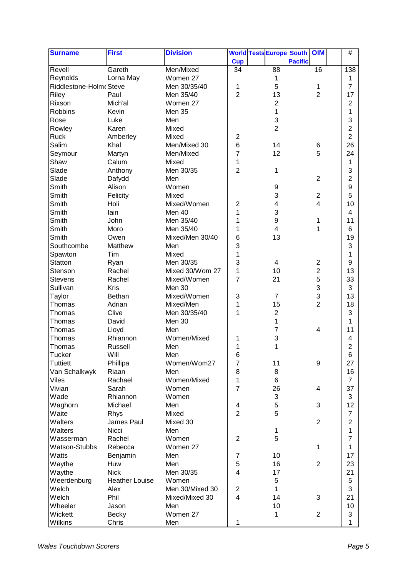| <b>Surname</b>          | <b>First</b>          | <b>Division</b> |                   | <b>World Tests Europe South</b> |                | <b>OIM</b>                         | $\#$           |
|-------------------------|-----------------------|-----------------|-------------------|---------------------------------|----------------|------------------------------------|----------------|
|                         |                       |                 | <b>Cup</b>        |                                 | <b>Pacific</b> |                                    |                |
| Revell                  | Gareth                | Men/Mixed       | 34                | 88                              |                | 16                                 | 138            |
| Reynolds                | Lorna May             | Women 27        |                   | 1                               |                |                                    | 1              |
| Riddlestone-Holme Steve |                       | Men 30/35/40    | 1                 | 5                               |                | 1                                  | $\overline{7}$ |
| Riley                   | Paul                  | Men 35/40       | $\overline{2}$    | 13                              |                | $\overline{2}$                     | 17             |
| Rixson                  | Mich'al               | Women 27        |                   | $\overline{2}$                  |                |                                    | 2              |
| Robbins                 | Kevin                 | Men 35          |                   | 1                               |                |                                    | 1              |
| Rose                    | Luke                  | Men             |                   | 3                               |                |                                    | 3              |
| Rowley                  | Karen                 | Mixed           |                   | $\overline{2}$                  |                |                                    | $\overline{2}$ |
| <b>Ruck</b>             | Amberley              | Mixed           | $\overline{2}$    |                                 |                |                                    | $\overline{2}$ |
| Salim                   | Khal                  | Men/Mixed 30    | $\,6$             | 14                              |                | 6                                  | 26             |
| Seymour                 | Martyn                | Men/Mixed       | 7                 | 12                              |                | 5                                  | 24             |
| Shaw                    | Calum                 | Mixed           | 1                 |                                 |                |                                    | 1              |
| Slade                   | Anthony               | Men 30/35       | $\overline{2}$    | 1                               |                |                                    | 3              |
| Slade                   | Dafydd                | Men             |                   |                                 |                | $\overline{2}$                     | $\overline{c}$ |
| Smith                   | Alison                | Women           |                   | 9                               |                |                                    | 9              |
| Smith                   | Felicity              | Mixed           |                   | 3                               |                | $\boldsymbol{2}$                   | 5              |
| Smith                   | Holi                  | Mixed/Women     | 2                 | 4                               |                | $\overline{\mathbf{4}}$            | 10             |
| Smith                   | lain                  | Men 40          | 1                 | 3                               |                |                                    | 4              |
| Smith                   | John                  | Men 35/40       | 1                 | 9                               |                | 1                                  | 11             |
| Smith                   | Moro                  | Men 35/40       | 1                 | 4                               |                | 1                                  | 6              |
| Smith                   | Owen                  | Mixed/Men 30/40 | $\,6$             | 13                              |                |                                    | 19             |
| Southcombe              | Matthew               | Men             | 3                 |                                 |                |                                    | 3              |
|                         | Tim                   | Mixed           | 1                 |                                 |                |                                    | 1              |
| Spawton                 |                       |                 |                   |                                 |                |                                    |                |
| Statton                 | Ryan<br>Rachel        | Men 30/35       | 3<br>$\mathbf{1}$ | $\overline{\mathbf{4}}$<br>10   |                | $\boldsymbol{2}$<br>$\overline{2}$ | 9<br>13        |
| Stenson                 |                       | Mixed 30/Wom 27 | $\overline{7}$    |                                 |                |                                    |                |
| <b>Stevens</b>          | Rachel                | Mixed/Women     |                   | 21                              |                | 5                                  | 33             |
| Sullivan                | Kris                  | Men 30          |                   |                                 |                | 3                                  | 3              |
| Taylor                  | Bethan                | Mixed/Women     | 3                 | 7                               |                | 3                                  | 13             |
| Thomas                  | Adrian                | Mixed/Men       | 1                 | 15                              |                | $\overline{2}$                     | 18             |
| Thomas                  | Clive                 | Men 30/35/40    | 1                 | $\overline{2}$                  |                |                                    | 3              |
| Thomas                  | David                 | Men 30          |                   | 1                               |                |                                    | 1              |
| Thomas                  | Lloyd                 | Men             |                   | 7                               |                | 4                                  | 11             |
| Thomas                  | Rhiannon              | Women/Mixed     | 1                 | 3                               |                |                                    | 4              |
| Thomas                  | Russell               | Men             | 1                 | 1                               |                |                                    | $\overline{c}$ |
| Tucker                  | Will                  | Men             | 6                 |                                 |                |                                    | 6              |
| Tuttiett                | Phillipa              | Women/Wom27     | $\overline{7}$    | 11                              |                | $\boldsymbol{9}$                   | 27             |
| Van Schalkwyk           | Riaan                 | Men             | 8                 | 8                               |                |                                    | 16             |
| <b>Viles</b>            | Rachael               | Women/Mixed     | $\mathbf 1$       | 6                               |                |                                    | $\overline{7}$ |
| Vivian                  | Sarah                 | Women           | $\overline{7}$    | 26                              |                | 4                                  | 37             |
| Wade                    | Rhiannon              | Women           |                   | 3                               |                |                                    | 3              |
| Waghorn                 | Michael               | Men             | 4                 | 5                               |                | 3                                  | 12             |
| Waite                   | Rhys                  | Mixed           | $\overline{2}$    | 5                               |                |                                    | $\overline{7}$ |
| Walters                 | James Paul            | Mixed 30        |                   |                                 |                | $\overline{2}$                     | $\overline{2}$ |
| Walters                 | Nicci                 | Men             |                   | 1                               |                |                                    | 1              |
| Wasserman               | Rachel                | Women           | $\overline{2}$    | 5                               |                |                                    | $\overline{7}$ |
| Watson-Stubbs           | Rebecca               | Women 27        |                   |                                 |                | $\mathbf{1}$                       | 1              |
| Watts                   | Benjamin              | Men             | 7                 | 10                              |                |                                    | 17             |
| Waythe                  | Huw                   | Men             | 5                 | 16                              |                | $\overline{2}$                     | 23             |
| Waythe                  | <b>Nick</b>           | Men 30/35       | $\overline{4}$    | 17                              |                |                                    | 21             |
| Weerdenburg             | <b>Heather Louise</b> | Women           |                   | 5                               |                |                                    | 5              |
| Welch                   | Alex                  | Men 30/Mixed 30 | $\mathbf 2$       | 1                               |                |                                    | 3              |
| Welch                   | Phil                  | Mixed/Mixed 30  | $\overline{4}$    | 14                              |                | 3                                  | 21             |
| Wheeler                 | Jason                 | Men             |                   | 10                              |                |                                    | 10             |
| Wickett                 | <b>Becky</b>          | Women 27        |                   | 1                               |                | $\mathbf{2}$                       | 3              |
| Wilkins                 | Chris                 | Men             | 1                 |                                 |                |                                    | 1              |